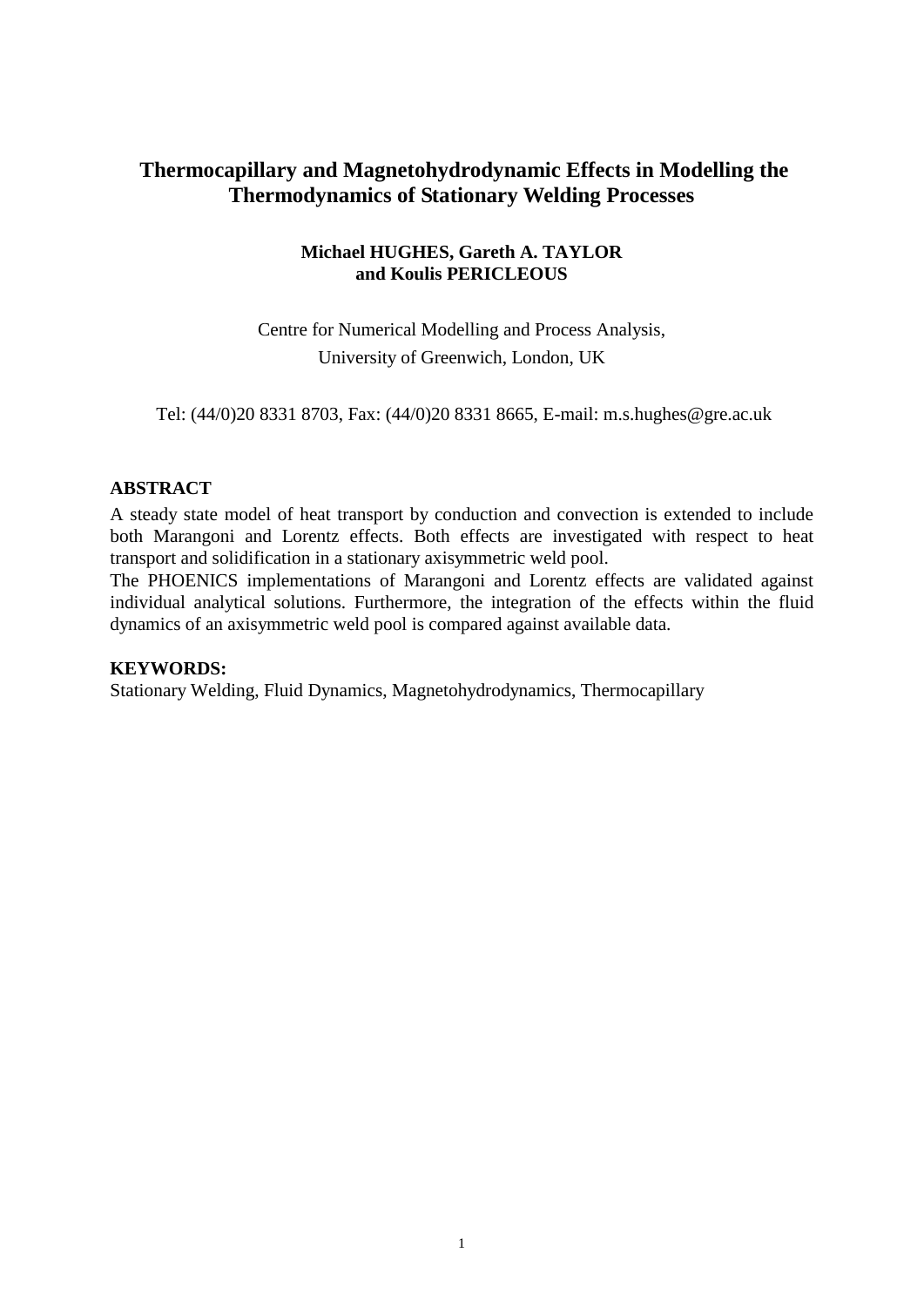# **Thermocapillary and Magnetohydrodynamic Effects in Modelling the Thermodynamics of Stationary Welding Processes**

# **Michael HUGHES, Gareth A. TAYLOR and Koulis PERICLEOUS**

Centre for Numerical Modelling and Process Analysis, University of Greenwich, London, UK

Tel: (44/0)20 8331 8703, Fax: (44/0)20 8331 8665, E-mail: m.s.hughes@gre.ac.uk

# **ABSTRACT**

A steady state model of heat transport by conduction and convection is extended to include both Marangoni and Lorentz effects. Both effects are investigated with respect to heat transport and solidification in a stationary axisymmetric weld pool.

The PHOENICS implementations of Marangoni and Lorentz effects are validated against individual analytical solutions. Furthermore, the integration of the effects within the fluid dynamics of an axisymmetric weld pool is compared against available data.

#### **KEYWORDS:**

Stationary Welding, Fluid Dynamics, Magnetohydrodynamics, Thermocapillary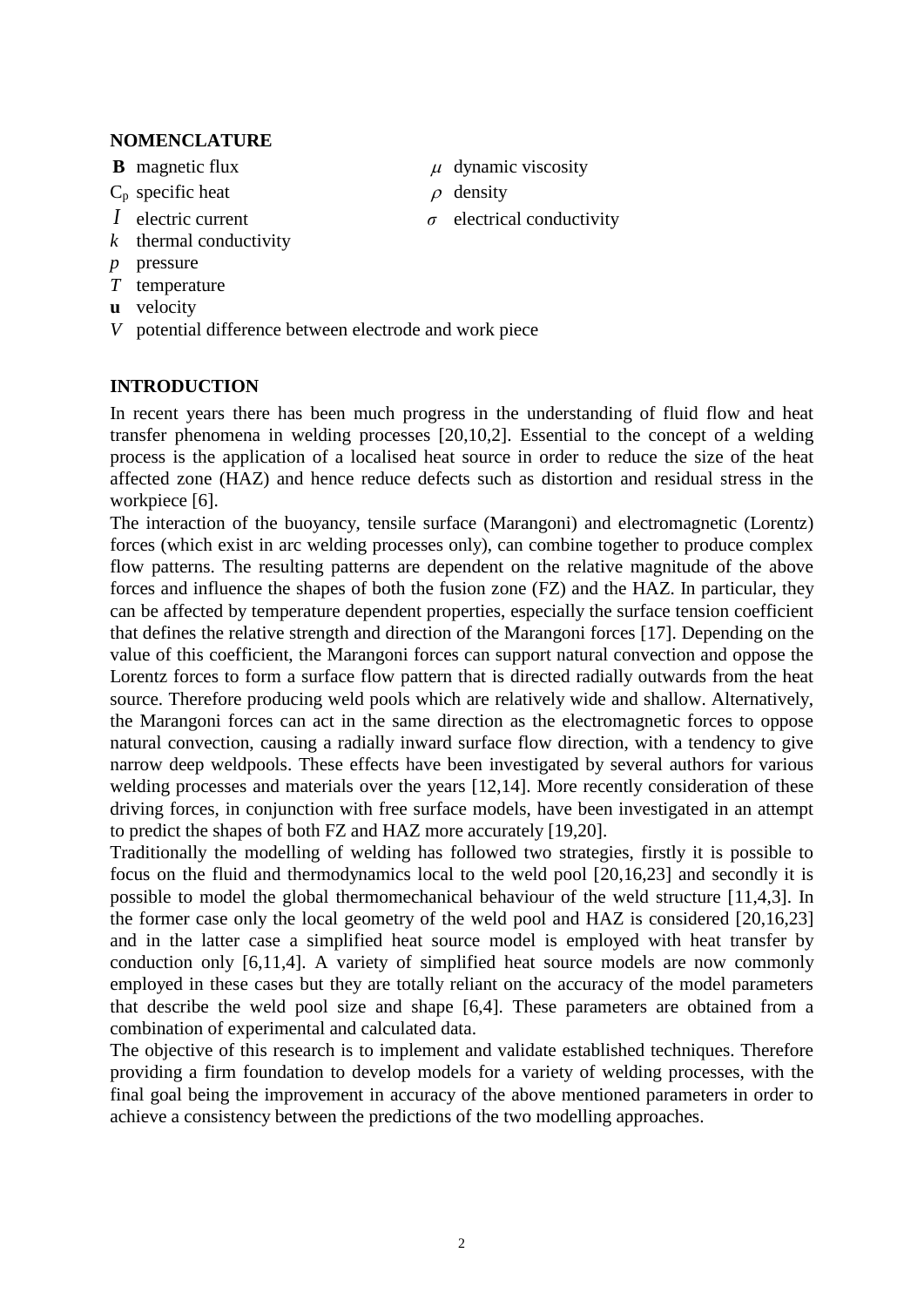### **NOMENCLATURE**

- **B** magnetic flux
- C<sup>p</sup> specific heat
- *I* electric current
- *k* thermal conductivity
- *p* pressure
- *T* temperature
- **u** velocity
- *V* potential difference between electrode and work piece

### **INTRODUCTION**

In recent years there has been much progress in the understanding of fluid flow and heat transfer phenomena in welding processes [\[20,](#page-7-0)[10,](#page-7-1)[2\]](#page-6-0). Essential to the concept of a welding process is the application of a localised heat source in order to reduce the size of the heat affected zone (HAZ) and hence reduce defects such as distortion and residual stress in the workpiece [\[6\]](#page-6-1).

The interaction of the buoyancy, tensile surface (Marangoni) and electromagnetic (Lorentz) forces (which exist in arc welding processes only), can combine together to produce complex flow patterns. The resulting patterns are dependent on the relative magnitude of the above forces and influence the shapes of both the fusion zone (FZ) and the HAZ. In particular, they can be affected by temperature dependent properties, especially the surface tension coefficient that defines the relative strength and direction of the Marangoni forces [\[17\]](#page-7-2). Depending on the value of this coefficient, the Marangoni forces can support natural convection and oppose the Lorentz forces to form a surface flow pattern that is directed radially outwards from the heat source. Therefore producing weld pools which are relatively wide and shallow. Alternatively, the Marangoni forces can act in the same direction as the electromagnetic forces to oppose natural convection, causing a radially inward surface flow direction, with a tendency to give narrow deep weldpools. These effects have been investigated by several authors for various welding processes and materials over the years [\[12](#page-7-3)[,14\]](#page-7-4). More recently consideration of these driving forces, in conjunction with free surface models, have been investigated in an attempt to predict the shapes of both FZ and HAZ more accurately [\[19,](#page-7-5)[20\]](#page-7-0).

Traditionally the modelling of welding has followed two strategies, firstly it is possible to focus on the fluid and thermodynamics local to the weld pool [\[20,](#page-7-0)[16,](#page-7-6)[23\]](#page-7-7) and secondly it is possible to model the global thermomechanical behaviour of the weld structure [\[11,](#page-7-8)[4,](#page-6-2)[3\]](#page-6-3). In the former case only the local geometry of the weld pool and HAZ is considered [\[20](#page-7-0)[,16](#page-7-6)[,23\]](#page-7-7) and in the latter case a simplified heat source model is employed with heat transfer by conduction only [\[6,](#page-6-1)[11,](#page-7-8)[4\]](#page-6-2). A variety of simplified heat source models are now commonly employed in these cases but they are totally reliant on the accuracy of the model parameters that describe the weld pool size and shape [\[6,](#page-6-1)[4\]](#page-6-2). These parameters are obtained from a combination of experimental and calculated data.

The objective of this research is to implement and validate established techniques. Therefore providing a firm foundation to develop models for a variety of welding processes, with the final goal being the improvement in accuracy of the above mentioned parameters in order to achieve a consistency between the predictions of the two modelling approaches.

- $\mu$  dynamic viscosity
- $\rho$  density
- $\sigma$  electrical conductivity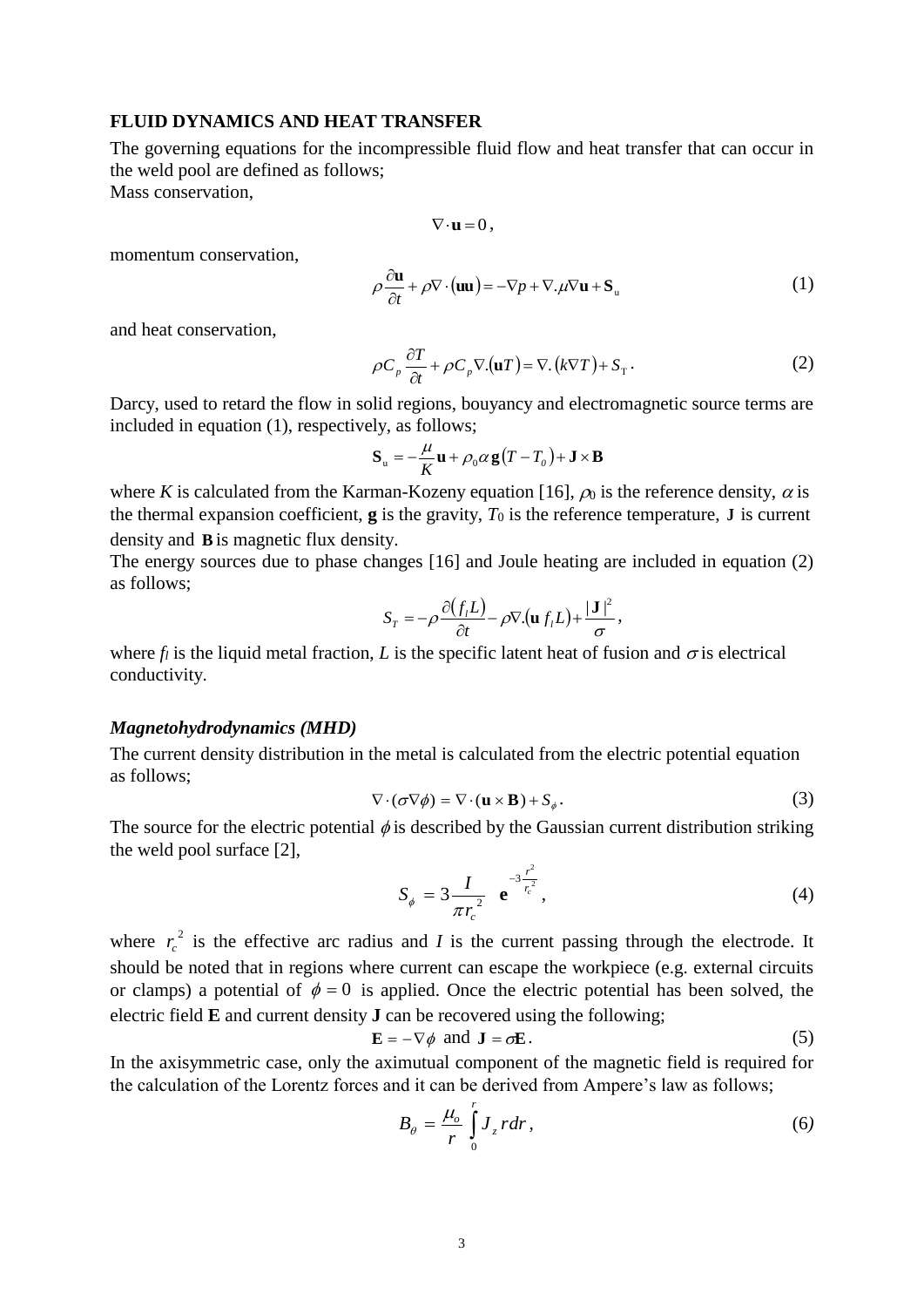#### **FLUID DYNAMICS AND HEAT TRANSFER**

The governing equations for the incompressible fluid flow and heat transfer that can occur in the weld pool are defined as follows; Mass conservation,

$$
\nabla\!\cdot\!{\bf u}\,{=}\,0\,,
$$

momentum conservation,

$$
\rho \frac{\partial \mathbf{u}}{\partial t} + \rho \nabla \cdot (\mathbf{u} \mathbf{u}) = -\nabla p + \nabla \cdot \mu \nabla \mathbf{u} + \mathbf{S}_{\mathbf{u}} \tag{1}
$$

and heat conservation,

$$
\rho C_p \frac{\partial T}{\partial t} + \rho C_p \nabla \left( \mathbf{u} T \right) = \nabla \left( k \nabla T \right) + S_T. \tag{2}
$$

Darcy, used to retard the flow in solid regions, bouyancy and electromagnetic source terms are included in equation (1), respectively, as follows;

$$
\mathbf{S}_{\mathrm{u}} = -\frac{\mu}{K}\mathbf{u} + \rho_0 \alpha \mathbf{g}(T - T_o) + \mathbf{J} \times \mathbf{B}
$$

where *K* is calculated from the Karman-Kozeny equation [\[16\]](#page-7-6),  $\rho_0$  is the reference density,  $\alpha$  is the thermal expansion coefficient,  $\bf{g}$  is the gravity,  $T_0$  is the reference temperature,  $\bf{J}$  is current density and **B** is magnetic flux density.

The energy sources due to phase changes [\[16\]](#page-7-6) and Joule heating are included in equation (2) as follows;

$$
S_T = -\rho \frac{\partial (f_i L)}{\partial t} - \rho \nabla . (\mathbf{u} f_i L) + \frac{|\mathbf{J}|^2}{\sigma},
$$

where  $f_l$  is the liquid metal fraction, *L* is the specific latent heat of fusion and  $\sigma$  is electrical conductivity.

#### *Magnetohydrodynamics (MHD)*

The current density distribution in the metal is calculated from the electric potential equation as follows;

$$
\nabla \cdot (\sigma \nabla \phi) = \nabla \cdot (\mathbf{u} \times \mathbf{B}) + S_{\phi}.
$$
 (3)

The source for the electric potential  $\phi$  is described by the Gaussian current distribution striking the weld pool surface [\[2\]](#page-6-0),

$$
S_{\phi} = 3 \frac{I}{\pi r_c^2} e^{-3 \frac{r^2}{r_c^2}}, \qquad (4)
$$

where  $r_c^2$  $r_c^2$  is the effective arc radius and *I* is the current passing through the electrode. It should be noted that in regions where current can escape the workpiece (e.g. external circuits or clamps) a potential of  $\phi = 0$  is applied. Once the electric potential has been solved, the electric field **E** and current density **J** can be recovered using the following;

$$
\mathbf{E} = -\nabla \phi \text{ and } \mathbf{J} = \sigma \mathbf{E}. \tag{5}
$$

In the axisymmetric case, only the aximutual component of the magnetic field is required for the calculation of the Lorentz forces and it can be derived from Ampere's law as follows;

$$
B_{\theta} = \frac{\mu_o}{r} \int_0^r J_z \, r dr,\tag{6}
$$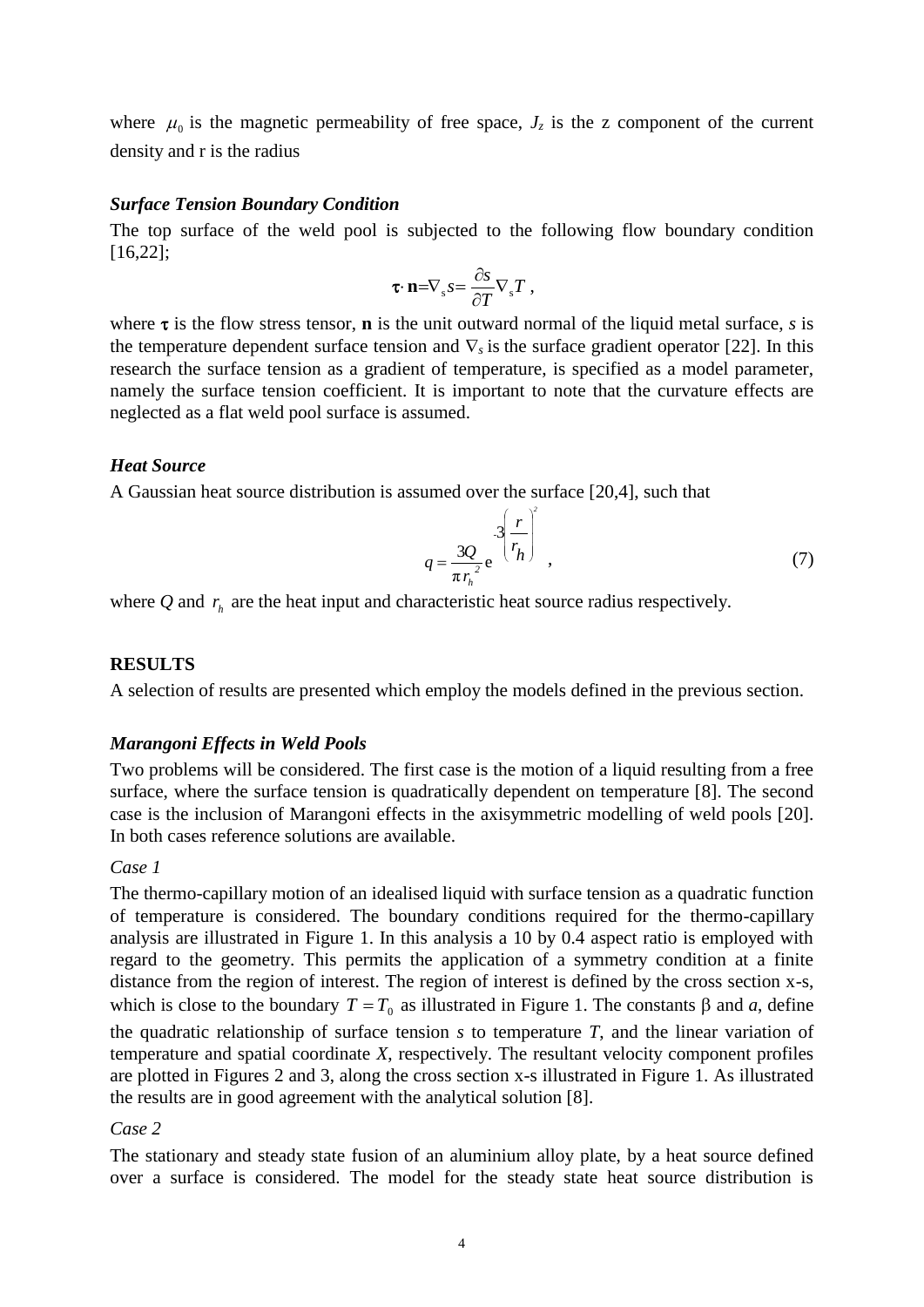where  $\mu_0$  is the magnetic permeability of free space,  $J_z$  is the z component of the current density and r is the radius

#### *Surface Tension Boundary Condition*

The top surface of the weld pool is subjected to the following flow boundary condition [\[16](#page-7-6)[,22\]](#page-7-9);

$$
\mathbf{\tau}\cdot\mathbf{n}=\nabla_{\mathbf{s}}S=\frac{\partial S}{\partial T}\nabla_{\mathbf{s}}T\;,
$$

where  $\tau$  is the flow stress tensor, **n** is the unit outward normal of the liquid metal surface, *s* is the temperature dependent surface tension and  $\nabla_s$  is the surface gradient operator [\[22\]](#page-7-9). In this research the surface tension as a gradient of temperature, is specified as a model parameter, namely the surface tension coefficient. It is important to note that the curvature effects are neglected as a flat weld pool surface is assumed.

#### *Heat Source*

A Gaussian heat source distribution is assumed over the surface [\[20](#page-7-0)[,4\]](#page-6-2), such that

$$
q = \frac{3Q}{\pi r_h^2} e^{-3\left(\frac{r}{r_h}\right)^2},\tag{7}
$$

where  $Q$  and  $r<sub>h</sub>$  are the heat input and characteristic heat source radius respectively.

#### **RESULTS**

A selection of results are presented which employ the models defined in the previous section.

#### *Marangoni Effects in Weld Pools*

Two problems will be considered. The first case is the motion of a liquid resulting from a free surface, where the surface tension is quadratically dependent on temperature [\[8\]](#page-7-10). The second case is the inclusion of Marangoni effects in the axisymmetric modelling of weld pools [\[20\]](#page-7-0). In both cases reference solutions are available.

#### *Case 1*

The thermo-capillary motion of an idealised liquid with surface tension as a quadratic function of temperature is considered. The boundary conditions required for the thermo-capillary analysis are illustrated in Figure 1. In this analysis a 10 by 0.4 aspect ratio is employed with regard to the geometry. This permits the application of a symmetry condition at a finite distance from the region of interest. The region of interest is defined by the cross section x-s, which is close to the boundary  $T = T_0$  as illustrated in Figure 1. The constants  $\beta$  and  $\alpha$ , define the quadratic relationship of surface tension *s* to temperature *T*, and the linear variation of temperature and spatial coordinate *X*, respectively. The resultant velocity component profiles are plotted in Figures 2 and 3, along the cross section x-s illustrated in Figure 1. As illustrated the results are in good agreement with the analytical solution [\[8\]](#page-7-10).

### *Case 2*

The stationary and steady state fusion of an aluminium alloy plate, by a heat source defined over a surface is considered. The model for the steady state heat source distribution is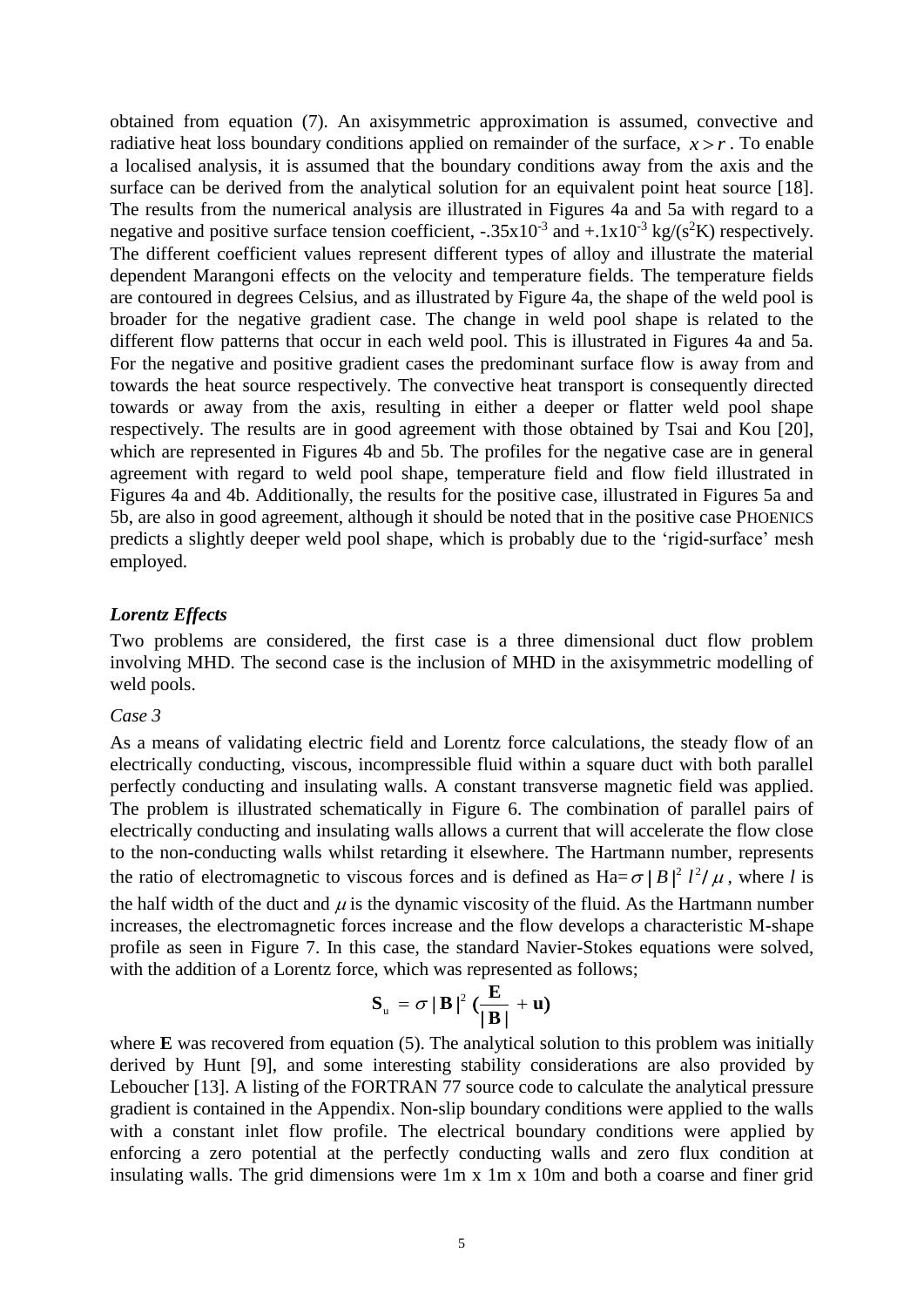obtained from equation (7). An axisymmetric approximation is assumed, convective and radiative heat loss boundary conditions applied on remainder of the surface,  $x > r$ . To enable a localised analysis, it is assumed that the boundary conditions away from the axis and the surface can be derived from the analytical solution for an equivalent point heat source [\[18\]](#page-7-11). The results from the numerical analysis are illustrated in Figures 4a and 5a with regard to a negative and positive surface tension coefficient,  $-.35x10^{-3}$  and  $+.1x10^{-3}$  kg/(s<sup>2</sup>K) respectively. The different coefficient values represent different types of alloy and illustrate the material dependent Marangoni effects on the velocity and temperature fields. The temperature fields are contoured in degrees Celsius, and as illustrated by Figure 4a, the shape of the weld pool is broader for the negative gradient case. The change in weld pool shape is related to the different flow patterns that occur in each weld pool. This is illustrated in Figures 4a and 5a. For the negative and positive gradient cases the predominant surface flow is away from and towards the heat source respectively. The convective heat transport is consequently directed towards or away from the axis, resulting in either a deeper or flatter weld pool shape respectively. The results are in good agreement with those obtained by Tsai and Kou [\[20\]](#page-7-0), which are represented in Figures 4b and 5b. The profiles for the negative case are in general agreement with regard to weld pool shape, temperature field and flow field illustrated in Figures 4a and 4b. Additionally, the results for the positive case, illustrated in Figures 5a and 5b, are also in good agreement, although it should be noted that in the positive case PHOENICS predicts a slightly deeper weld pool shape, which is probably due to the 'rigid-surface' mesh employed.

### *Lorentz Effects*

Two problems are considered, the first case is a three dimensional duct flow problem involving MHD. The second case is the inclusion of MHD in the axisymmetric modelling of weld pools.

#### *Case 3*

As a means of validating electric field and Lorentz force calculations, the steady flow of an electrically conducting, viscous, incompressible fluid within a square duct with both parallel perfectly conducting and insulating walls. A constant transverse magnetic field was applied. The problem is illustrated schematically in Figure 6. The combination of parallel pairs of electrically conducting and insulating walls allows a current that will accelerate the flow close to the non-conducting walls whilst retarding it elsewhere. The Hartmann number, represents the ratio of electromagnetic to viscous forces and is defined as  $Ha = \sigma |B|^2 l^2 / \mu$ , where *l* is the half width of the duct and  $\mu$  is the dynamic viscosity of the fluid. As the Hartmann number increases, the electromagnetic forces increase and the flow develops a characteristic M-shape profile as seen in Figure 7. In this case, the standard Navier-Stokes equations were solved, with the addition of a Lorentz force, which was represented as follows;

$$
S_{u} = \sigma |B|^{2} \left( \frac{E}{|B|} + u \right)
$$

where **E** was recovered from equation (5). The analytical solution to this problem was initially derived by Hunt [\[9\]](#page-7-12), and some interesting stability considerations are also provided by Leboucher [\[13\]](#page-7-13). A listing of the FORTRAN 77 source code to calculate the analytical pressure gradient is contained in the Appendix. Non-slip boundary conditions were applied to the walls with a constant inlet flow profile. The electrical boundary conditions were applied by enforcing a zero potential at the perfectly conducting walls and zero flux condition at insulating walls. The grid dimensions were 1m x 1m x 10m and both a coarse and finer grid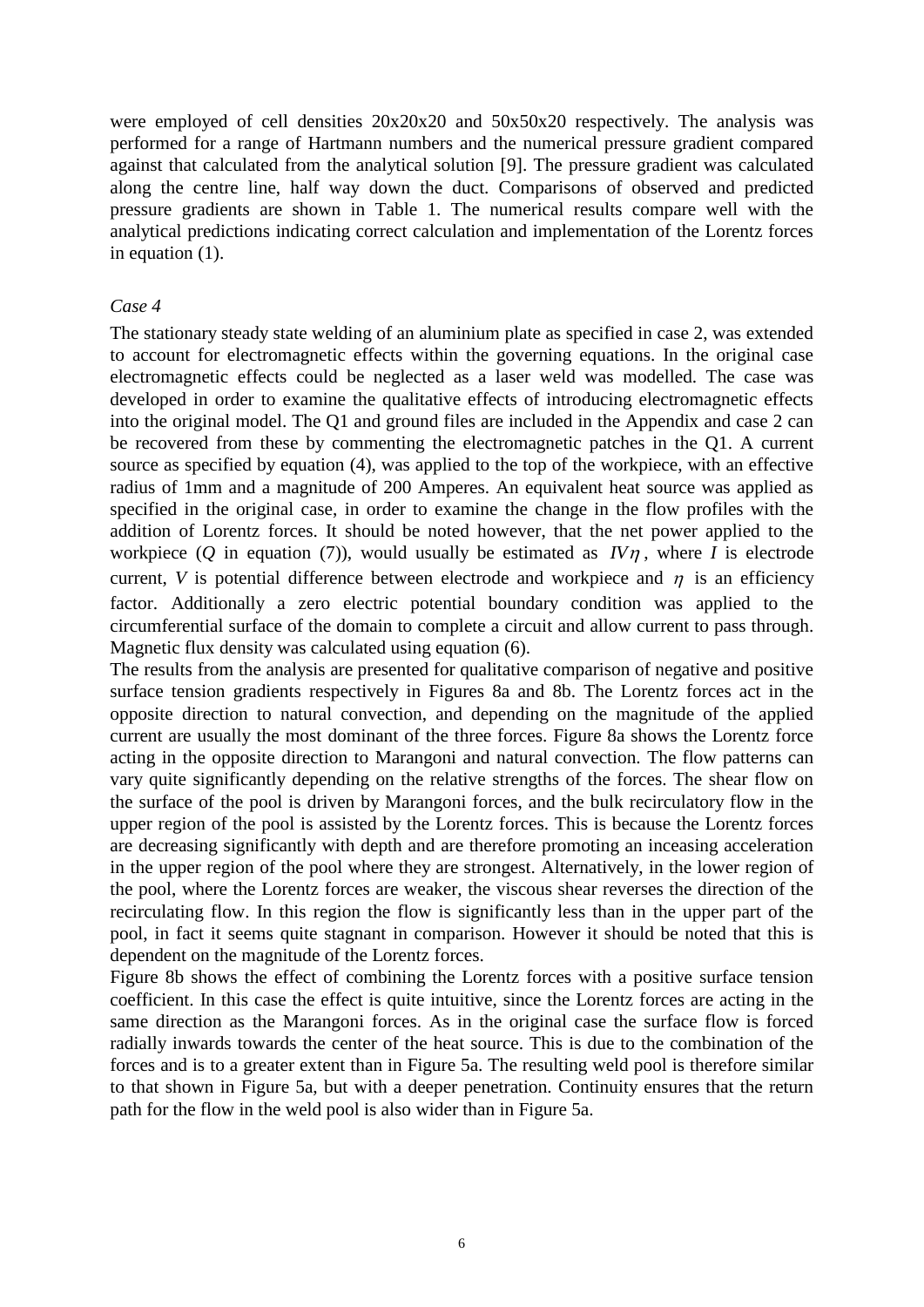were employed of cell densities 20x20x20 and 50x50x20 respectively. The analysis was performed for a range of Hartmann numbers and the numerical pressure gradient compared against that calculated from the analytical solution [\[9\]](#page-7-12). The pressure gradient was calculated along the centre line, half way down the duct. Comparisons of observed and predicted pressure gradients are shown in Table 1. The numerical results compare well with the analytical predictions indicating correct calculation and implementation of the Lorentz forces in equation (1).

#### *Case 4*

The stationary steady state welding of an aluminium plate as specified in case 2, was extended to account for electromagnetic effects within the governing equations. In the original case electromagnetic effects could be neglected as a laser weld was modelled. The case was developed in order to examine the qualitative effects of introducing electromagnetic effects into the original model. The Q1 and ground files are included in the Appendix and case 2 can be recovered from these by commenting the electromagnetic patches in the Q1. A current source as specified by equation (4), was applied to the top of the workpiece, with an effective radius of 1mm and a magnitude of 200 Amperes. An equivalent heat source was applied as specified in the original case, in order to examine the change in the flow profiles with the addition of Lorentz forces. It should be noted however, that the net power applied to the workpiece  $(Q$  in equation (7)), would usually be estimated as  $I\vee \eta$ , where *I* is electrode current, V is potential difference between electrode and workpiece and  $\eta$  is an efficiency factor. Additionally a zero electric potential boundary condition was applied to the circumferential surface of the domain to complete a circuit and allow current to pass through. Magnetic flux density was calculated using equation (6).

The results from the analysis are presented for qualitative comparison of negative and positive surface tension gradients respectively in Figures 8a and 8b. The Lorentz forces act in the opposite direction to natural convection, and depending on the magnitude of the applied current are usually the most dominant of the three forces. Figure 8a shows the Lorentz force acting in the opposite direction to Marangoni and natural convection. The flow patterns can vary quite significantly depending on the relative strengths of the forces. The shear flow on the surface of the pool is driven by Marangoni forces, and the bulk recirculatory flow in the upper region of the pool is assisted by the Lorentz forces. This is because the Lorentz forces are decreasing significantly with depth and are therefore promoting an inceasing acceleration in the upper region of the pool where they are strongest. Alternatively, in the lower region of the pool, where the Lorentz forces are weaker, the viscous shear reverses the direction of the recirculating flow. In this region the flow is significantly less than in the upper part of the pool, in fact it seems quite stagnant in comparison. However it should be noted that this is dependent on the magnitude of the Lorentz forces.

Figure 8b shows the effect of combining the Lorentz forces with a positive surface tension coefficient. In this case the effect is quite intuitive, since the Lorentz forces are acting in the same direction as the Marangoni forces. As in the original case the surface flow is forced radially inwards towards the center of the heat source. This is due to the combination of the forces and is to a greater extent than in Figure 5a. The resulting weld pool is therefore similar to that shown in Figure 5a, but with a deeper penetration. Continuity ensures that the return path for the flow in the weld pool is also wider than in Figure 5a.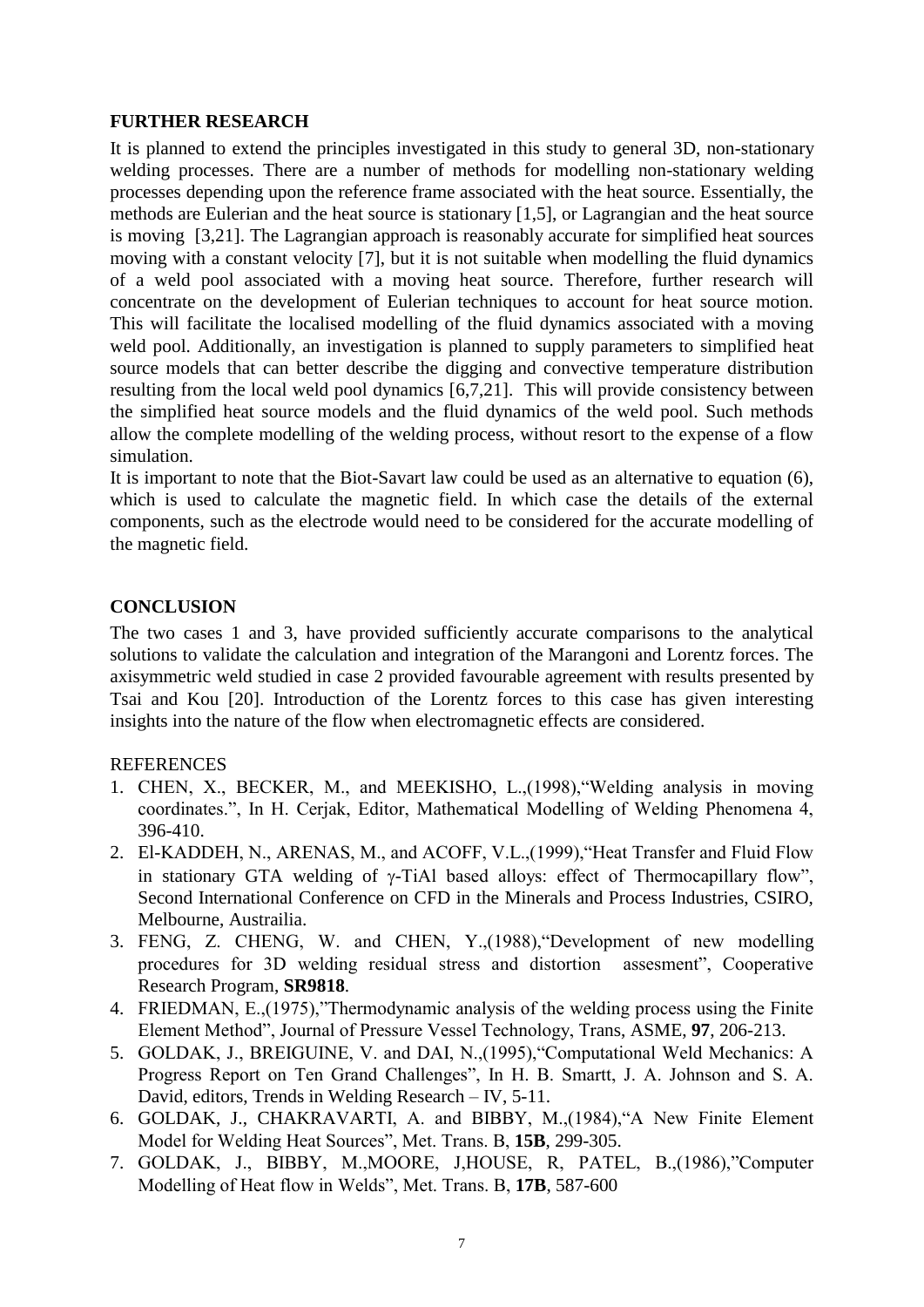### **FURTHER RESEARCH**

It is planned to extend the principles investigated in this study to general 3D, non-stationary welding processes. There are a number of methods for modelling non-stationary welding processes depending upon the reference frame associated with the heat source. Essentially, the methods are Eulerian and the heat source is stationary [\[1,](#page-6-4)[5\]](#page-6-5), or Lagrangian and the heat source is moving [\[3](#page-6-3)[,21\]](#page-7-14). The Lagrangian approach is reasonably accurate for simplified heat sources moving with a constant velocity [\[7\]](#page-6-6), but it is not suitable when modelling the fluid dynamics of a weld pool associated with a moving heat source. Therefore, further research will concentrate on the development of Eulerian techniques to account for heat source motion. This will facilitate the localised modelling of the fluid dynamics associated with a moving weld pool. Additionally, an investigation is planned to supply parameters to simplified heat source models that can better describe the digging and convective temperature distribution resulting from the local weld pool dynamics [\[6](#page-6-1)[,7](#page-6-6)[,21\]](#page-7-14). This will provide consistency between the simplified heat source models and the fluid dynamics of the weld pool. Such methods allow the complete modelling of the welding process, without resort to the expense of a flow simulation.

It is important to note that the Biot-Savart law could be used as an alternative to equation (6), which is used to calculate the magnetic field. In which case the details of the external components, such as the electrode would need to be considered for the accurate modelling of the magnetic field.

# **CONCLUSION**

The two cases 1 and 3, have provided sufficiently accurate comparisons to the analytical solutions to validate the calculation and integration of the Marangoni and Lorentz forces. The axisymmetric weld studied in case 2 provided favourable agreement with results presented by Tsai and Kou [\[20\]](#page-7-0). Introduction of the Lorentz forces to this case has given interesting insights into the nature of the flow when electromagnetic effects are considered.

# REFERENCES

- <span id="page-6-4"></span>1. CHEN, X., BECKER, M., and MEEKISHO, L.,(1998),"Welding analysis in moving coordinates.", In H. Cerjak, Editor, Mathematical Modelling of Welding Phenomena 4, 396-410.
- <span id="page-6-0"></span>2. El-KADDEH, N., ARENAS, M., and ACOFF, V.L.,(1999),"Heat Transfer and Fluid Flow in stationary GTA welding of  $\gamma$ -TiAl based alloys: effect of Thermocapillary flow", Second International Conference on CFD in the Minerals and Process Industries, CSIRO, Melbourne, Austrailia.
- <span id="page-6-3"></span>3. FENG, Z. CHENG, W. and CHEN, Y.,(1988),"Development of new modelling procedures for 3D welding residual stress and distortion assesment", Cooperative Research Program, **SR9818**.
- <span id="page-6-2"></span>4. FRIEDMAN, E.,(1975),"Thermodynamic analysis of the welding process using the Finite Element Method", Journal of Pressure Vessel Technology, Trans, ASME, **97**, 206-213.
- <span id="page-6-5"></span>5. GOLDAK, J., BREIGUINE, V. and DAI, N.,(1995),"Computational Weld Mechanics: A Progress Report on Ten Grand Challenges", In H. B. Smartt, J. A. Johnson and S. A. David, editors, Trends in Welding Research – IV, 5-11.
- <span id="page-6-1"></span>6. GOLDAK, J., CHAKRAVARTI, A. and BIBBY, M.,(1984),"A New Finite Element Model for Welding Heat Sources", Met. Trans. B, **15B**, 299-305.
- <span id="page-6-6"></span>7. GOLDAK, J., BIBBY, M.,MOORE, J,HOUSE, R, PATEL, B.,(1986),"Computer Modelling of Heat flow in Welds", Met. Trans. B, **17B**, 587-600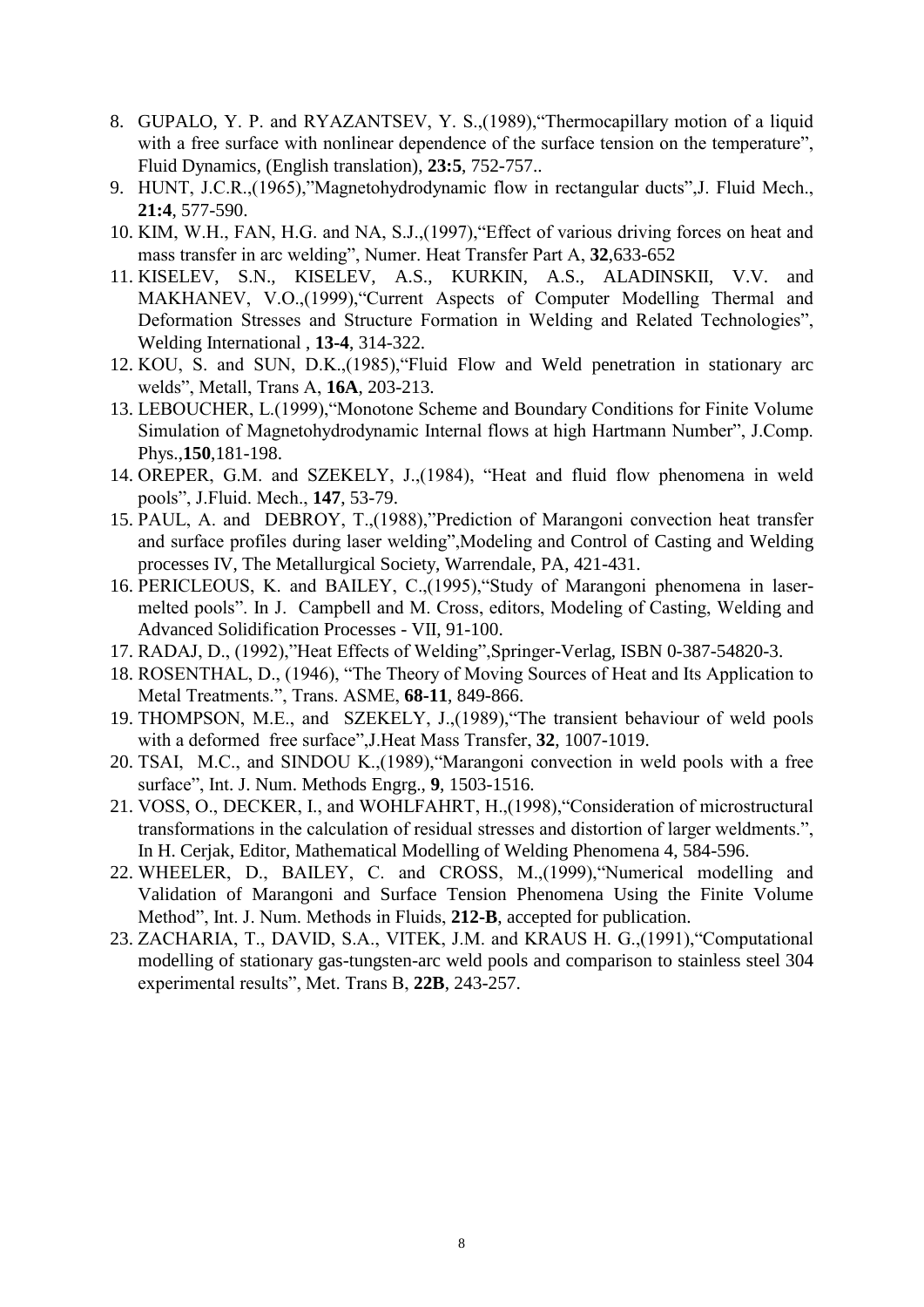- <span id="page-7-10"></span>8. GUPALO, Y. P. and RYAZANTSEV, Y. S.,(1989),"Thermocapillary motion of a liquid with a free surface with nonlinear dependence of the surface tension on the temperature", Fluid Dynamics, (English translation), **23:5**, 752-757..
- <span id="page-7-12"></span>9. HUNT, J.C.R.,(1965),"Magnetohydrodynamic flow in rectangular ducts",J. Fluid Mech., **21:4**, 577-590.
- <span id="page-7-1"></span>10. KIM, W.H., FAN, H.G. and NA, S.J.,(1997),"Effect of various driving forces on heat and mass transfer in arc welding", Numer. Heat Transfer Part A, **32**,633-652
- <span id="page-7-8"></span>11. KISELEV, S.N., KISELEV, A.S., KURKIN, A.S., ALADINSKII, V.V. and MAKHANEV, V.O.,(1999),"Current Aspects of Computer Modelling Thermal and Deformation Stresses and Structure Formation in Welding and Related Technologies", Welding International , **13-4**, 314-322.
- <span id="page-7-3"></span>12. KOU, S. and SUN, D.K.,(1985),"Fluid Flow and Weld penetration in stationary arc welds", Metall, Trans A, **16A**, 203-213.
- <span id="page-7-13"></span>13. LEBOUCHER, L.(1999),"Monotone Scheme and Boundary Conditions for Finite Volume Simulation of Magnetohydrodynamic Internal flows at high Hartmann Number", J.Comp. Phys.,**150**,181-198.
- <span id="page-7-4"></span>14. OREPER, G.M. and SZEKELY, J.,(1984), "Heat and fluid flow phenomena in weld pools", J.Fluid. Mech., **147**, 53-79.
- 15. PAUL, A. and DEBROY, T.,(1988),"Prediction of Marangoni convection heat transfer and surface profiles during laser welding",Modeling and Control of Casting and Welding processes IV, The Metallurgical Society, Warrendale, PA, 421-431.
- <span id="page-7-6"></span>16. PERICLEOUS, K. and BAILEY, C.,(1995),"Study of Marangoni phenomena in lasermelted pools". In J. Campbell and M. Cross, editors, Modeling of Casting, Welding and Advanced Solidification Processes - VII, 91-100.
- <span id="page-7-2"></span>17. RADAJ, D., (1992),"Heat Effects of Welding",Springer-Verlag, ISBN 0-387-54820-3.
- <span id="page-7-11"></span>18. ROSENTHAL, D., (1946), "The Theory of Moving Sources of Heat and Its Application to Metal Treatments.", Trans. ASME, **68-11**, 849-866.
- <span id="page-7-5"></span>19. THOMPSON, M.E., and SZEKELY, J.,(1989),"The transient behaviour of weld pools with a deformed free surface",J.Heat Mass Transfer, **32**, 1007-1019.
- <span id="page-7-0"></span>20. TSAI, M.C., and SINDOU K.,(1989),"Marangoni convection in weld pools with a free surface", Int. J. Num. Methods Engrg., **9**, 1503-1516.
- <span id="page-7-14"></span>21. VOSS, O., DECKER, I., and WOHLFAHRT, H.,(1998),"Consideration of microstructural transformations in the calculation of residual stresses and distortion of larger weldments.", In H. Cerjak, Editor, Mathematical Modelling of Welding Phenomena 4, 584-596.
- <span id="page-7-9"></span>22. WHEELER, D., BAILEY, C. and CROSS, M.,(1999),"Numerical modelling and Validation of Marangoni and Surface Tension Phenomena Using the Finite Volume Method", Int. J. Num. Methods in Fluids, **212-B**, accepted for publication.
- <span id="page-7-7"></span>23. ZACHARIA, T., DAVID, S.A., VITEK, J.M. and KRAUS H. G.,(1991),"Computational modelling of stationary gas-tungsten-arc weld pools and comparison to stainless steel 304 experimental results", Met. Trans B, **22B**, 243-257.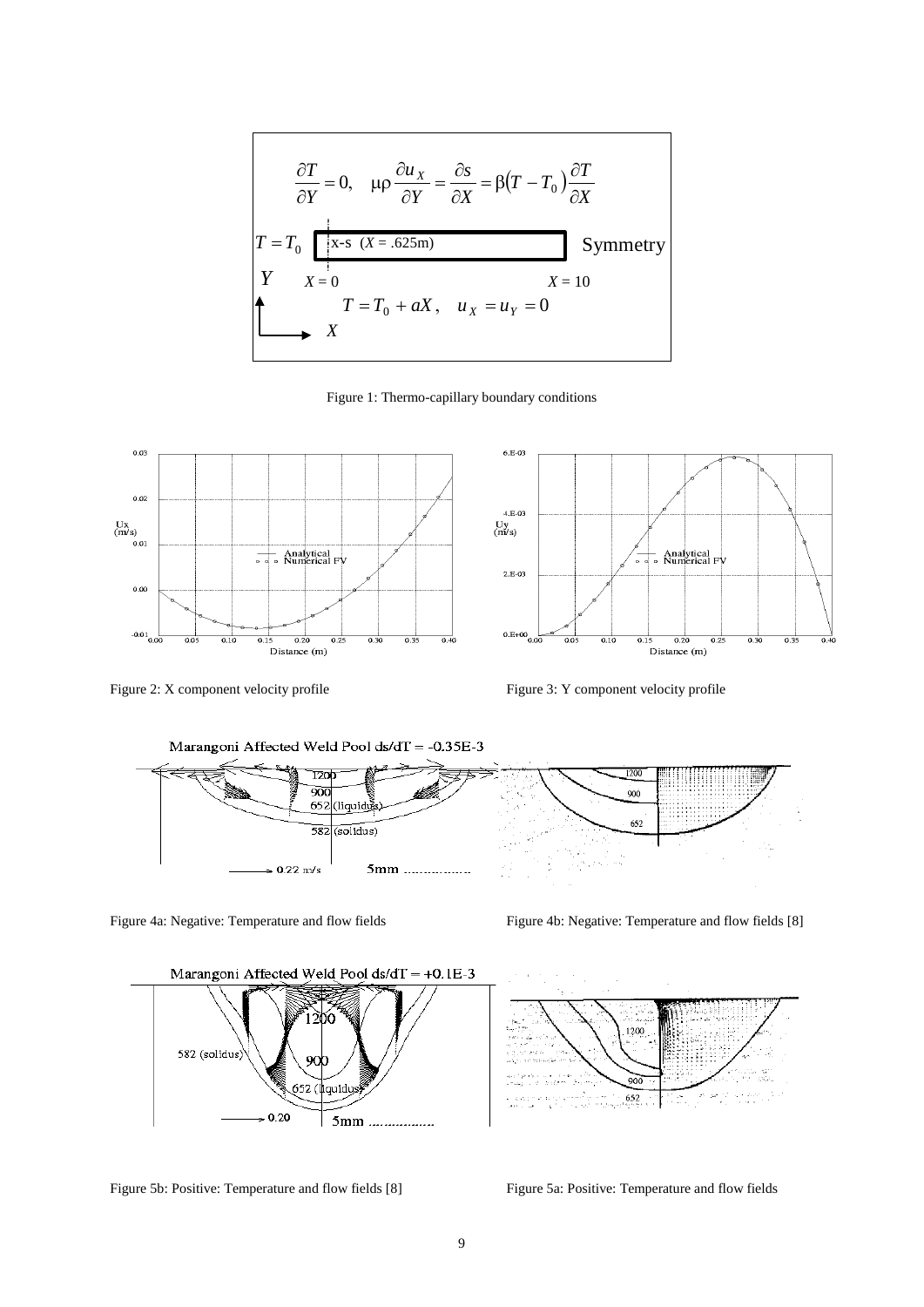$$
\frac{\partial T}{\partial Y} = 0, \quad \mu \rho \frac{\partial u_X}{\partial Y} = \frac{\partial s}{\partial X} = \beta (T - T_0) \frac{\partial T}{\partial X}
$$
\n
$$
T = T_0 \underbrace{\begin{bmatrix} x - s & (X = .625\text{m}) & & 0 \\ x - s & (X = .625\text{m}) & & 0 \\ y & X = 0 & & x = 10 \\ x & X & & x = 0 \end{bmatrix}}_{X} \text{Symmetry}
$$

Figure 1: Thermo-capillary boundary conditions



Figure 2: X component velocity profile Figure 3: Y component velocity profile



Figure 4a: Negative: Temperature and flow fields Figure 4b: Negative: Temperature and flow fields [8]



Figure 5b: Positive: Temperature and flow fields [8] Figure 5a: Positive: Temperature and flow fields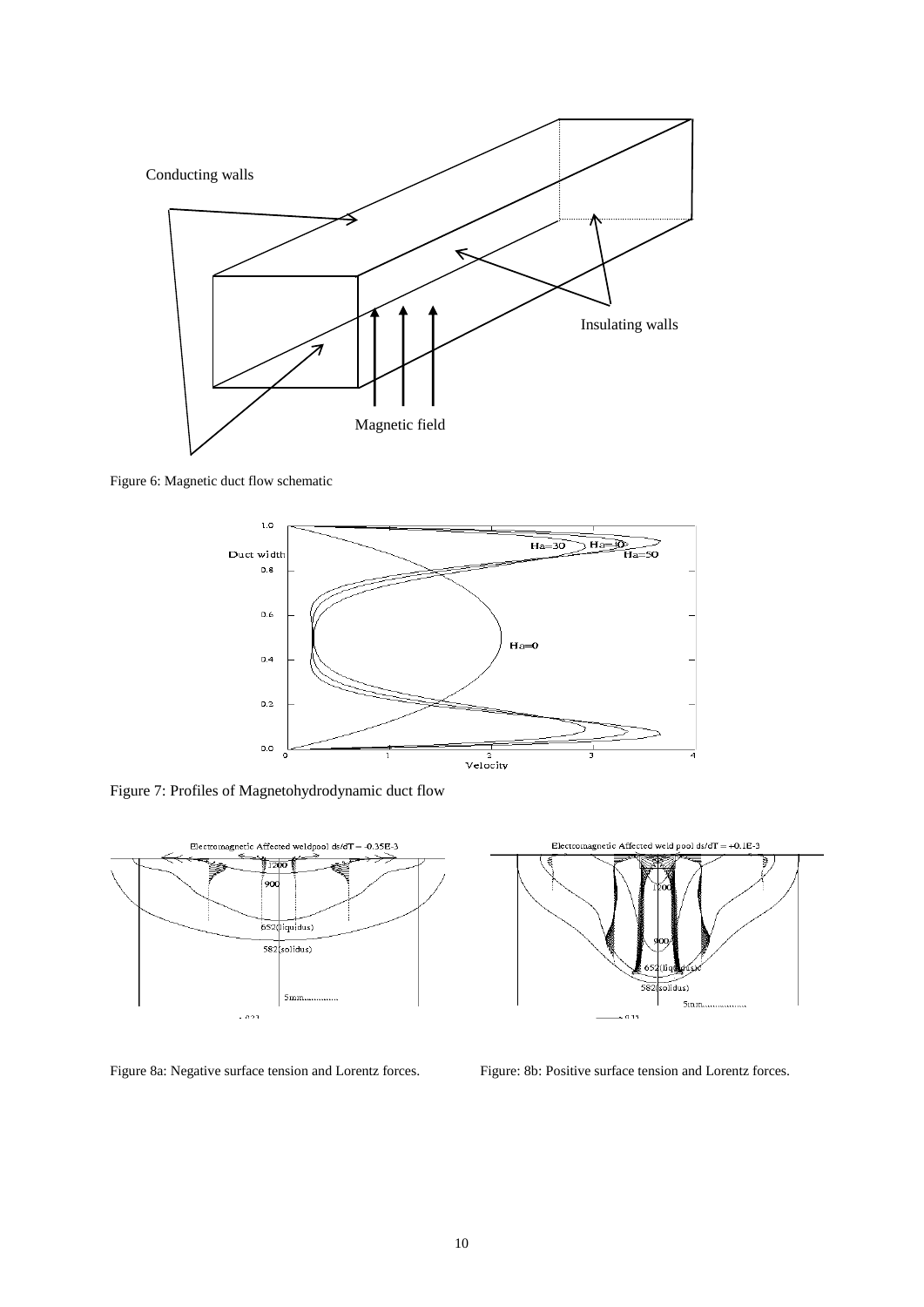

Figure 6: Magnetic duct flow schematic



Figure 7: Profiles of Magnetohydrodynamic duct flow





Figure 8a: Negative surface tension and Lorentz forces. Figure: 8b: Positive surface tension and Lorentz forces.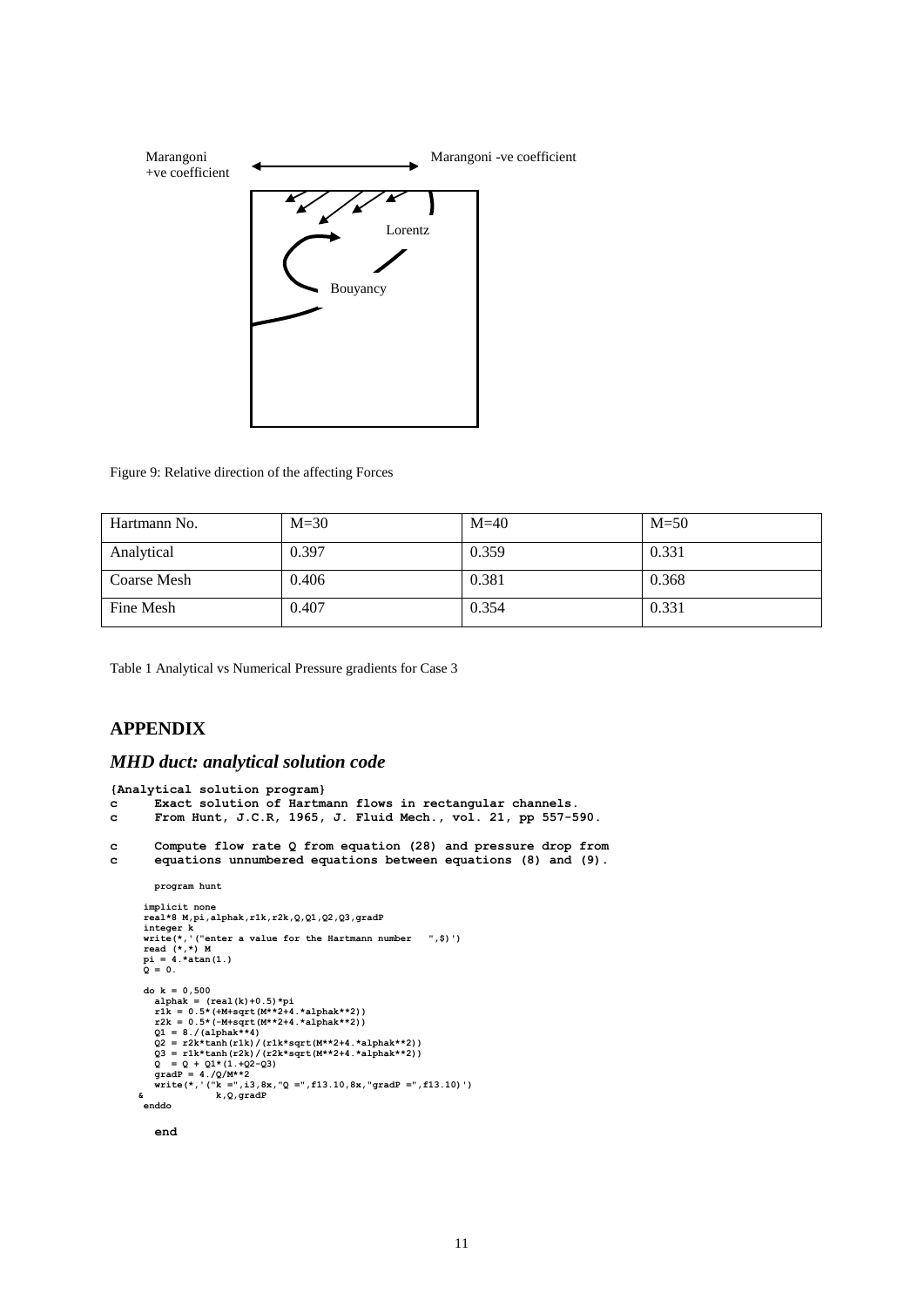

Figure 9: Relative direction of the affecting Forces

| Hartmann No. | $M = 30$ | $M=40$ | $M = 50$ |
|--------------|----------|--------|----------|
| Analytical   | 0.397    | 0.359  | 0.331    |
| Coarse Mesh  | 0.406    | 0.381  | 0.368    |
| Fine Mesh    | 0.407    | 0.354  | 0.331    |

Table 1 Analytical vs Numerical Pressure gradients for Case 3

#### **APPENDIX**

#### *MHD duct: analytical solution code*

```
{Analytical solution program}
c Exact solution of Hartmann flows in rectangular channels.
c From Hunt, J.C.R, 1965, J. Fluid Mech., vol. 21, pp 557-590.
c Compute flow rate Q from equation (28) and pressure drop from
c equations unnumbered equations between equations (8) and (9).
            program hunt
         implicit none
real*8 M,pi,alphak,r1k,r2k,Q,Q1,Q2,Q3,gradP<br>
integer k<br>
write(*,'("enter a value for the Hartmann number ",$)')<br>
read (*,*) M<br>
pi = 4.*atan(1.)<br>
Q = 0.
         do k = 0,500
alphak = (\text{real}(k)+0.5) * pi<br>
rlk = 0.5* (\text{M}*sqrt+4.*4.*alphak**2))<br>
r2k = 0.5* (\text{M}*sqrt+4.*4.*alphak**2))<br>
Q1 = 8./(\text{alpha}**2+4.*alphak**2))<br>
Q2 = r2k*tanh(r1k)/(r1k*sqrt(M**2+4.*alphak**2))<br>
Q3 = r1k*tanh(r2k)/(r2k*sqrt(M**2+4.*alphak**2))<br>
Q = Q + Q1*(1.+Q2-q3)<br>
gradP = 4.(Q/M**2)<br>

         enddo
            end
```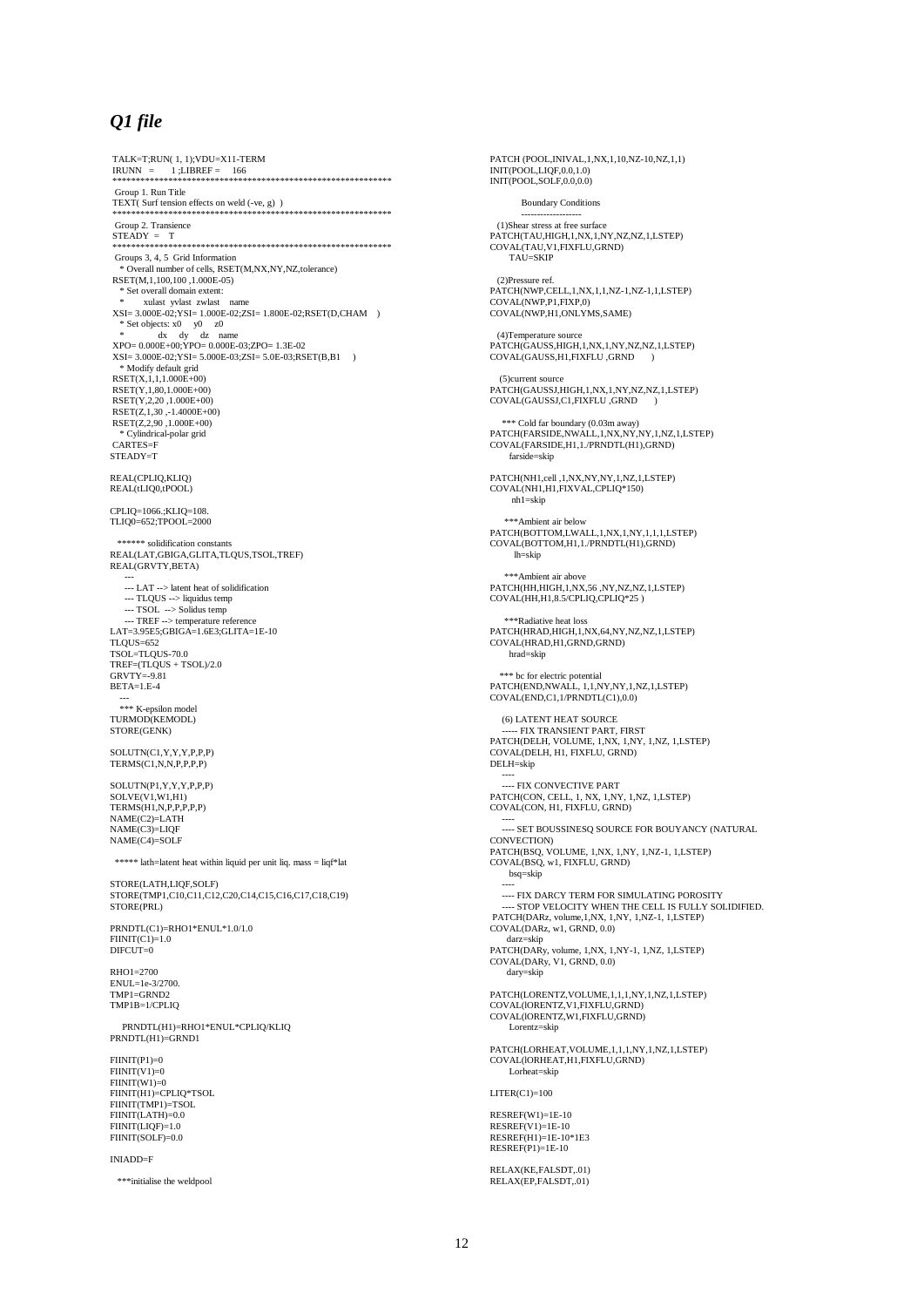#### *Q1 file*

TALK=T;RUN( 1, 1);VDU=X11-TERM IRUNN = 1 ;LIBREF = 166 \*\*\*\*\*\*\*\*\*\*\*\*\*\*\*\*\*\*\*\*\*\*\*\*\*\*\*\*\*\*\*\*\*\*\*\*\*\*\*\*\*\*\*\*\*\*\*\*\*\*\*\*\*\*\*\*\*\*\*\* Group 1. Run Title TEXT( Surf tension effects on weld (-ve, g) ) \*\*\*\*\*\*\*\*\*\*\*\*\*\*\*\*\*\*\*\*\*\*\*\*\*\*\*\*\*\*\*\*\*\*\*\*\*\*\*\*\*\*\*\*\*\*\*\*\*\*\*\*\*\*\*\*\*\*\*\* Group 2. Transience STEADY = T \*\*\*\*\*\*\*\*\*\*\*\*\*\*\*\*\*\*\*\*\*\*\*\*\*\*\*\*\*\*\*\*\*\*\*\*\*\*\*\*\*\*\*\*\*\*\*\*\*\*\*\*\*\*\*\*\*\*\*\* Groups 3, 4, 5 Grid Information \* Overall number of cells, RSET(M,NX,NY,NZ,tolerance) RSET(M,1,100,100 ,1.000E-05) \* Set overall domain extent: \* xulast yvlast zwlast name XSI= 3.000E-02;YSI= 1.000E-02;ZSI= 1.800E-02;RSET(D,CHAM ) \* Set objects: x0 y0 z0 \* dx dy dz name XPO= 0.000E+00;YPO= 0.000E-03;ZPO= 1.3E-02 XSI= 3.000E-02;YSI= 5.000E-03;ZSI= 5.0E-03;RSET(B,B1 ) \* Modify default grid RSET(X,1,1,1.000E+00) RSET(Y,1,80,1.000E+00) RSET(Y,2,20 ,1.000E+00) RSET(Z,1,30 ,-1.4000E+00) RSET(Z,2,90 ,1.000E+00) \* Cylindrical-polar grid CARTES=F STEADY=T REAL(CPLIQ,KLIQ) REAL(tLIQ0,tPOOL) CPLIQ=1066.;KLIQ=108. TLIQ0=652;TPOOL=2000 \*\*\*\*\*\* solidification constants REAL(LAT,GBIGA,GLITA,TLQUS,TSOL,TREF) REAL(GRVTY,BETA) --- --- LAT --> latent heat of solidification --- TLQUS --> liquidus temp --- TSOL --> Solidus temp --- TREF --> temperature reference LAT=3.95E5;GBIGA=1.6E3;GLITA=1E-10  $TI$   $O<sub>1</sub>S=652$ TSOL=TLQUS-70.0 TREF=(TLQUS + TSOL)/2.0 GRVTY=-9.81 BETA=1.E-4 --- \*\*\* K-epsilon model TURMOD(KEMODL) STORE(GENK) SOLUTN(C1,Y,Y,Y,P,P,P) TERMS(C1,N,N,P,P,P,P) SOLUTN(P1,Y,Y,Y,P,P,P) SOLVE(V1,W1,H1) TERMS(H1,N,P,P,P,P,P) NAME(C2)=LATH NAME(C3)=LIQF NAME(C4)=SOLF \*\*\*\*\* lath=latent heat within liquid per unit liq. mass = liqf\*lat STORE(LATH,LIQF,SOLF) STORE(TMP1,C10,C11,C12,C20,C14,C15,C16,C17,C18,C19) STORE(PRL) PRNDTL(C1)=RHO1\*ENUL\*1.0/1.0 FIINIT(C1)=1.0 DIFCUT=0 RHO1=2700  $ENU = 1e-3/2700$ TMP1=GRND2 TMP1B=1/CPLIQ PRNDTL(H1)=RHO1\*ENUL\*CPLIQ/KLIQ PRNDTL(H1)=GRND1 FIINIT(P1)=0  $FINT(V1)=0$  $FINIT(W1)=0$ FIINIT(H1)=CPLIQ\*TSOL FIINIT(TMP1)=TSOL FIINIT(LATH)=0.0 FIINIT(LIQF)=1.0 FIINIT(SOLF)=0.0 INIADD=F \*\*\*initialise the weldpool

PATCH (POOL,INIVAL,1,NX,1,10,NZ-10,NZ,1,1) INIT(POOL,LIQF,0.0,1.0) INIT(POOL,SOLF,0.0,0.0) Boundary Conditions ------------------- (1)Shear stress at free surface PATCH(TAU,HIGH,1,NX,1,NY,NZ,NZ,1,LSTEP) COVAL(TAU,V1,FIXFLU,GRND) TAU=SKIP (2)Pressure ref. PATCH(NWP,CELL,1,NX,1,1,NZ-1,NZ-1,1,LSTEP) COVAL(NWP,P1,FIXP,0) COVAL(NWP,H1,ONLYMS,SAME) (4)Temperature source PATCH(GAUSS,HIGH,1,NX,1,NY,NZ,NZ,1,LSTEP) COVAL(GAUSS,H1,FIXFLU ,GRND ) (5)current source PATCH(GAUSSJ,HIGH,1,NX,1,NY,NZ,NZ,1,LSTEP) COVAL(GAUSSJ,C1,FIXFLU ,GRND ) \*\*\* Cold far boundary (0.03m away) PATCH(FARSIDE,NWALL,1,NX,NY,NY,1,NZ,1,LSTEP) COVAL(FARSIDE,H1,1./PRNDTL(H1),GRND) farside=skip PATCH(NH1,cell ,1,NX,NY,NY,1,NZ,1,LSTEP) COVAL(NH1,H1,FIXVAL,CPLIQ\*150) nh1=skip \*\*\*Ambient air below PATCH(BOTTOM,LWALL,1,NX,1,NY,1,1,1,LSTEP) COVAL(BOTTOM,H1,1./PRNDTL(H1),GRND) lh=skip \*\*\*Ambient air above PATCH(HH,HIGH,1,NX,56 ,NY,NZ,NZ,1,LSTEP) COVAL(HH,H1,8.5/CPLIQ,CPLIQ\*25 ) \*\*\*Radiative heat loss PATCH(HRAD,HIGH,1,NX,64,NY,NZ,NZ,1,LSTEP) COVAL(HRAD,H1,GRND,GRND) hrad=skip \*\*\* bc for electric potential PATCH(END,NWALL, 1,1,NY,NY,1,NZ,1,LSTEP) COVAL(END,C1,1/PRNDTL(C1),0.0) (6) LATENT HEAT SOURCE ----- FIX TRANSIENT PART, FIRST PATCH(DELH, VOLUME, 1,NX, 1,NY, 1,NZ, 1,LSTEP) COVAL(DELH, H1, FIXFLU, GRND) DELH=skip ---- --- FIX CONVECTIVE PART PATCH(CON, CELL, 1, NX, 1,NY, 1,NZ, 1,LSTEP) COVAL(CON, H1, FIXFLU, GRND) ---- --- SET BOUSSINESQ SOURCE FOR BOUYANCY (NATURAL CONVECTION) PATCH(BSQ, VOLUME, 1,NX, 1,NY, 1,NZ-1, 1,LSTEP) COVAL(BSQ, w1, FIXFLU, GRND) bsq=skip ----<br>---- FIX DARCY TERM FOR SIMULATING POROSITY ---- STOP VELOCITY WHEN THE CELL IS FULLY SOLIDIFIED. PATCH(DARz, volume,1,NX, 1,NY, 1,NZ-1, 1,LSTEP) COVAL(DARz, w1, GRND, 0.0) darz=skip PATCH(DARy, volume, 1,NX, 1,NY-1, 1,NZ, 1,LSTEP) COVAL(DARy, V1, GRND, 0.0) dary=skip PATCH(LORENTZ,VOLUME,1,1,1,NY,1,NZ,1,LSTEP) COVAL(lORENTZ,V1,FIXFLU,GRND) COVAL(lORENTZ,W1,FIXFLU,GRND) Lorentz=skip PATCH(LORHEAT,VOLUME,1,1,1,NY,1,NZ,1,LSTEP) COVAL(lORHEAT,H1,FIXFLU,GRND) Lorheat=skip  $LITER(C1)=100$ RESREF(W1)=1E-10 RESREF(V1)=1E-10 RESREF(H1)=1E-10\*1E3 RESREF(P1)=1E-10 RELAX(KE EALSDT, 01) RELAX(EP,FALSDT,.01)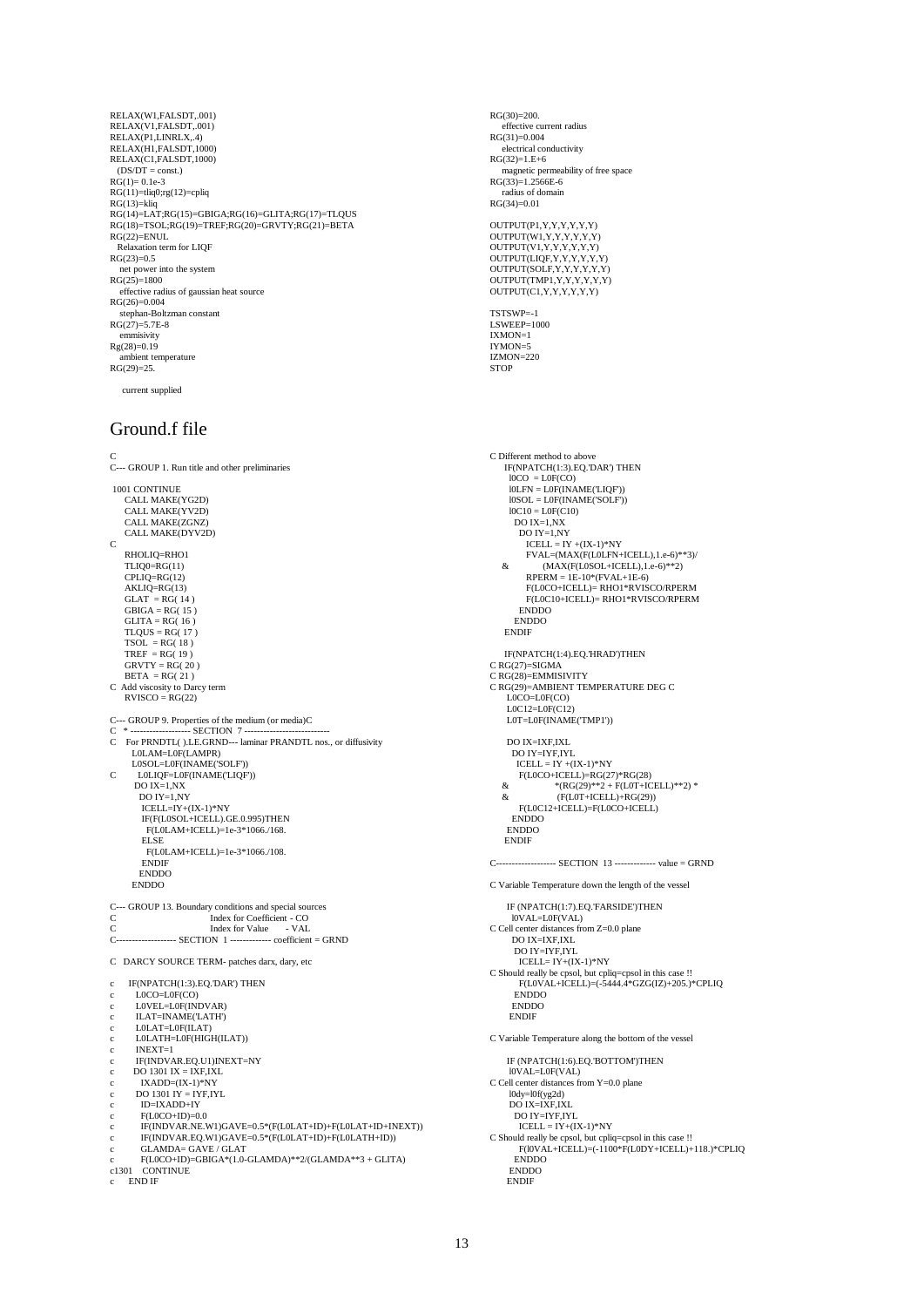RELAX(W1,FALSDT,.001) RELAX(V1,FALSDT,.001) RELAX(P1,LINRLX, 4) RELAX(H1,FALSDT,1000) RELAX(C1,FALSDT,1000) (DS/DT = const.) RG(1)= 0.1e-3 RG(11)=tliq0;rg(12)=cpliq RG(13)=kliq RG(14)=LAT;RG(15)=GBIGA;RG(16)=GLITA;RG(17)=TLQUS RG(18)=TSOL;RG(19)=TREF;RG(20)=GRVTY;RG(21)=BETA RG(22)=ENUL Relaxation term for LIQF  $RG(23)=0.5$  net power into the system RG(25)=1800 effective radius of gaussian heat source  $RG(26)=0.004$ stephan-Boltzman constant RG(27)=5.7E-8 emmisivity Rg(28)=0.19 ambient temperature  $RG(29) = 25.$ 

current supplied

### Ground.f file

C C--- GROUP 1. Run title and other preliminaries 1001 CONTINUE CALL MAKE(YG2D) CALL MAKE(YV2D) CALL MAKE(ZGNZ) CALL MAKE(DYV2D)  $\mathcal{C}$  RHOLIQ=RHO1 TLIQ0=RG(11)  $CPIJO=RG(12)$  $AKLIQ=RG(13)$  $GLAT = RG(14)$ <br>GBIGA = RG(15) GLITA = RG( 16 ) TLQUS = RG( 17 ) TSOL = RG( 18 ) TREF = RG( 19 ) GRVTY = RG( 20 )  $BETA = RG(21)$ C Add viscosity to Darcy term RVISCO = RG(22) C--- GROUP 9. Properties of the medium (or media)C C \* ------------------- SECTION 7 --------------------------- C For PRNDTL( ).LE.GRND--- laminar PRANDTL nos., or diffusivity L0LAM=L0F(LAMPR) L0SOL=L0F(INAME('SOLF')) C L0LIQF=L0F(INAME('LIQF')) DO IX=1,NX DO IY=1,NY ICELL=IY+(IX-1)\*NY IF(F(L0SOL+ICELL).GE.0.995)THEN F(L0LAM+ICELL)=1e-3\*1066./168. **ELSE**  F(L0LAM+ICELL)=1e-3\*1066./108. ENDIF ENDDO ENDDO C--- GROUP 13. Boundary conditions and special sources C Index for Coefficient - CO C Index for Value - VAL C------------------- SECTION 1 ------------- coefficient = GRND C DARCY SOURCE TERM- patches darx, dary, etc c IF(NPATCH(1:3).EQ.'DAR') THEN  $LOCO=LOF(CO)$ L0VEL=L0F(INDVAR) ILAT=INAME('LATH') c L0LAT=L0F(ILAT) c L0LATH=L0F(HIGH(ILAT)) c INEXT=1 c IF(INDVAR.EQ.U1)INEXT=NY c DO 1301 IX = IXF,IXL c IXADD=(IX-1)\*NY  $DO 1301 IY = IYF, IYL$ c ID=IXADD+IY  $F(LOCO+ID)=0.0$ c IF(INDVAR.NE.W1)GAVE=0.5\*(F(L0LAT+ID)+F(L0LAT+ID+INEXT)) c IF(INDVAR.EQ.W1)GAVE=0.5\*(F(L0LAT+ID)+F(L0LATH+ID)) c GLAMDA= GAVE / GLAT c F(L0CO+ID)=GBIGA\*(1.0-GLAMDA)\*\*2/(GLAMDA\*\*3 + GLITA) c1301 CONTINUE c END IF

RG(30)=200. effective current radius  $RG(31)=0.004$ electrical conductivity  $RG(32)=1.E+6$  magnetic permeability of free space  $RG(33)=1.2566E-6$  radius of domain RG(34)=0.01 OUTPUT(P1,Y,Y,Y,Y,Y,Y,Y)<br>OUTPUT(W1,Y,Y,Y,Y,Y,Y,Y)<br>OUTPUT(V1,Y,Y,Y,Y,Y,Y)<br>OUTPUT(LIQF,Y,Y,Y,Y,Y,Y) OUTPUT(SOLF,Y,Y,Y,Y,Y,Y) OUTPUT(TMP1,Y,Y,Y,Y,Y,Y) OUTPUT(C1,Y,Y,Y,Y,Y,Y) TSTSWP=-1 LSWEEP=1000 IXMON=1 IYMON=5 IZMON=220 **STOP** C Different method to above IF(NPATCH(1:3).EQ.'DAR') THEN l0CO = L0F(CO) l0LFN = L0F(INAME('LIQF')) l0SOL = L0F(INAME('SOLF')) l0C10 = L0F(C10) DO IX=1,NX DO IY=1,NY ICELL = IY +(IX-1)\*NY FVAL=(MAX(F(L0LFN+ICELL),1.e-6)\*\*3)/ &  $(MAX(F(LOSOL+ICELL), 1.e-6)*2)$  RPERM = 1E-10\*(FVAL+1E-6) F(L0CO+ICELL)= RHO1\*RVISCO/RPERM F(L0C10+ICELL)= RHO1\*RVISCO/RPERM ENDDO ENDDO **ENDIF**  IF(NPATCH(1:4).EQ.'HRAD')THEN C RG(27)=SIGMA C RG(28)=EMMISIVITY C RG(29)=AMBIENT TEMPERATURE DEG C L0CO=L0F(CO) L0C12=L0F(C12) L0T=L0F(INAME('TMP1')) DO IX=IXF,IXL DO IY=IYF,IYL ICELL = IY +(IX-1)\*NY F(L0CO+ICELL)=RG(27)\*RG(28) & \*(RG(29)\*\*2 + F(L0T+ICELL)\*\*2) \* & (F(L0T+ICELL)+RG(29)) F(L0C12+ICELL)=F(L0CO+ICELL) ENDDO ENDDO **ENDIF** ----- SECTION 13 -------------- value = GRND C Variable Temperature down the length of the vessel IF (NPATCH(1:7).EQ.'FARSIDE')THEN l0VAL=L0F(VAL) C Cell center distances from Z=0.0 plane DO IX=IXF,IXL DO IY=IYF,IYL ICELL= IY+(IX-1)\*NY C Should really be cpsol, but cpliq=cpsol in this case !! F(L0VAL+ICELL)=(-5444.4\*GZG(IZ)+205.)\*CPLIQ ENDDO ENDDO **ENDIF** C Variable Temperature along the bottom of the vessel IF (NPATCH(1:6).EQ.'BOTTOM')THEN l0VAL=L0F(VAL) C Cell center distances from Y=0.0 plane l0dy=l0f(yg2d) DO IX=IXF,IXL DO IY=IYF,IYL  $ICELL = IY + (IX-1)*NY$ <br>C Should really be cpsol, but cpliq=cpsol in this case !! F(l0VAL+ICELL)=(-1100\*F(L0DY+ICELL)+118.)\*CPLIQ ENDDO ENDDO ENDIF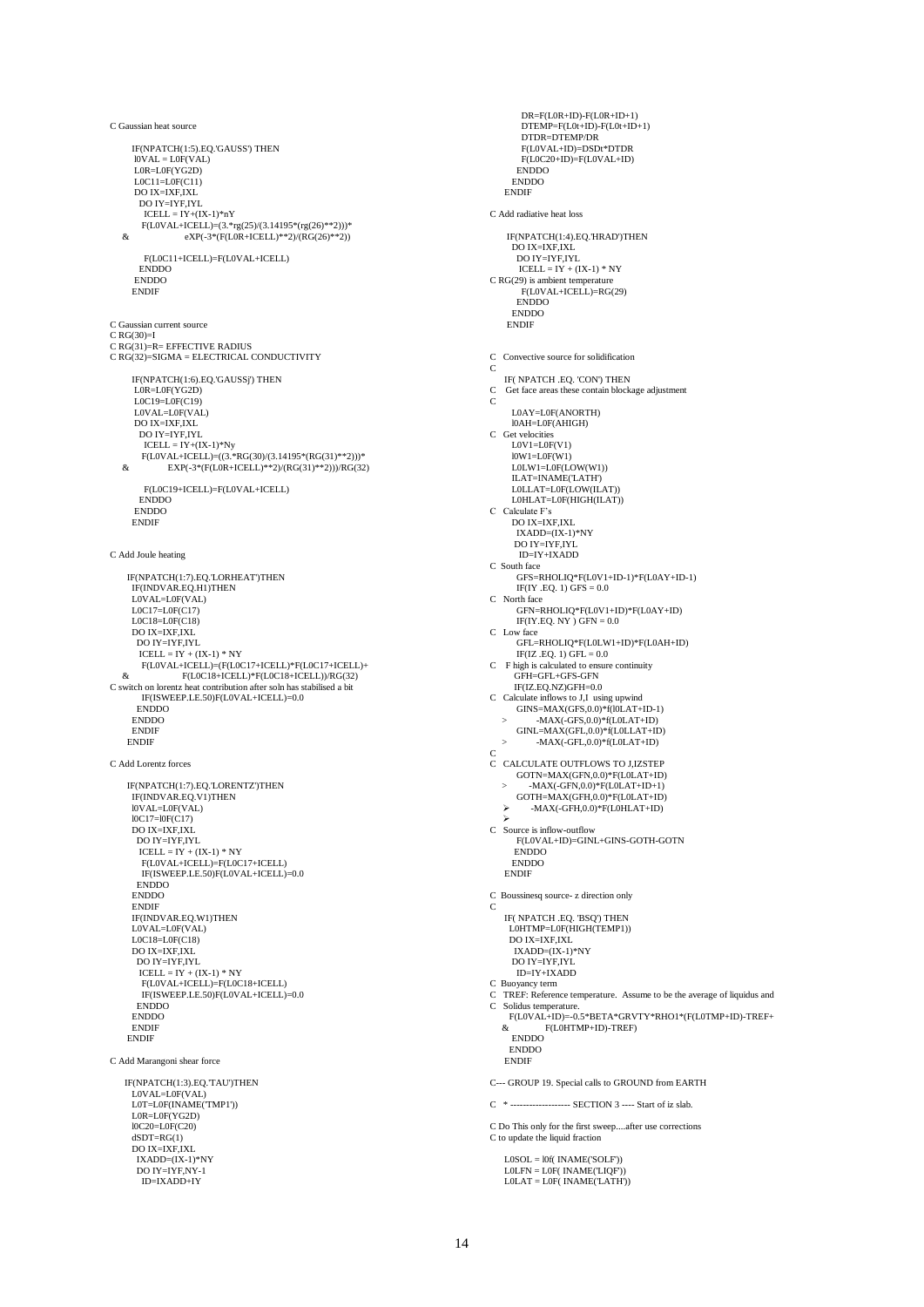C Gaussian heat source IF(NPATCH(1:5).EQ.'GAUSS') THEN l0VAL = L0F(VAL) L0R=L0F(YG2D)  $LOC11 = LOF(C11)$  DO IX=IXF,IXL DO IY=IYF,IYL ICELL = IY+(IX-1)\*nY F(L0VAL+ICELL)=(3.\*rg(25)/(3.14195\*(rg(26)\*\*2)))\* & eXP(-3\*(F(L0R+ICELL)\*\*2)/(RG(26)\*\*2)) F(L0C11+ICELL)=F(L0VAL+ICELL) ENDDO ENDDO **ENDIF** C Gaussian current source  $C RG(30)=I$  $C RG(31)=R= EFFECTIVE RADIUS$ C RG(32)=SIGMA = ELECTRICAL CONDUCTIVITY IF(NPATCH(1:6).EQ.'GAUSSj') THEN L0R=L0F(YG2D) L0C19=L0F(C19) L0VAL=L0F(VAL) DO IX=IXF,IXL DO IY=IYF,IYL ICELL = IY+(IX-1)\*Ny F(L0VAL+ICELL)=((3.\*RG(30)/(3.14195\*(RG(31)\*\*2)))\* & EXP(-3\*(F(L0R+ICELL)\*\*2)/(RG(31)\*\*2)))/RG(32) F(L0C19+ICELL)=F(L0VAL+ICELL) ENDDO ENDDO ENDIF C Add Joule heating IF(NPATCH(1·7). EQ. T. ORHEAT')THEN IF(INDVAR.EQ.H1)THEN L0VAL=L0F(VAL)  $LOC17=LOF(C17)$  L0C18=L0F(C18) DO IX=IXF,IXL DO IY=IYF,IYL<br>ICELL = IY + (IX-1) \* NY<br>F(L0VAL+ICELL)=(F(L0C17+ICELL)\*F(L0C17+ICELL)<br>& F(L0C18+ICELL)\*F(L0C18+ICELL))/RG(32) C switch on lorentz heat contribution after soln has stabilised a bit IF(ISWEEP.LE.50)F(L0VAL+ICELL)=0.0 **ENDDO**  ENDDO ENDIF ENDIF C Add Lorentz forces IF(NPATCH(1:7).EQ.'LORENTZ')THEN IF(INDVAR.EQ.V1)THEN l0VAL=L0F(VAL) l0C17=l0F(C17) DO IX=IXF IXL DO IY=IYF,IYL ICELL = IY + (IX-1) \* NY F(L0VAL+ICELL)=F(L0C17+ICELL) IF(ISWEEP.LE.50)F(L0VAL+ICELL)=0.0 ENDDO ENDDO ENDIF IF(INDVAR.EQ.W1)THEN L0VAL=L0F(VAL) L0C18=L0F(C18) DO IX=IXF,IXL DO IY=IYF,IYL  $ICELL = IY + (IX-1) * NY$  F(L0VAL+ICELL)=F(L0C18+ICELL) IF(ISWEEP.LE.50)F(L0VAL+ICELL)=0.0 ENDDO ENDDO ENDIF ENDIF C Add Marangoni shear force IF(NPATCH(1:3).EQ.'TAU')THEN L0VAL=L0F(VAL) L0T=L0F(INAME('TMP1')) L0R=L0F(YG2D) l0C20=L0F(C20)  $dSDT=RG(1)$  DO IX=IXF,IXL IXADD=(IX-1)\*NY DO IY=IYF,NY-1 ID=IXADD+IY

 DR=F(L0R+ID)-F(L0R+ID+1) DTEMP=F(L0t+ID)-F(L0t+ID+1) DTDR=DTEMP/DR F(L0VAL+ID)=DSDt\*DTDR F(L0C20+ID)=F(L0VAL+ID) ENDDO ENDDO **ENDI** C Add radiative heat loss IF(NPATCH(1:4).EQ.'HRAD')THEN DO IX=IXF,IXL DO IY=IYF,IYL  $ICELL = IY + (IX-1) * NY$ C RG(29) is ambient temperature F(L0VAL+ICELL)=RG(29) **ENDDO**  ENDDO ENDIF C Convective source for solidification  $\epsilon$ IF( NPATCH .EQ. 'CON') THEN<br>
C Get face areas these contain block Get face areas these contain blockage adjustment C L0AY=L0F(ANORTH) l0AH=L0F(AHIGH) C Get velocities L0V1=L0F(V1) l0W1=L0F(W1) L0LW1=L0F(LOW(W1)) ILAT=INAME('LATH')<br>L0LLAT=L0F(LOW(ILAT)) L0HLAT=L0F(HIGH(ILAT)) C Calculate F's DO IX=IXF,IXL IXADD=(IX-1)\*NY DO IY=IYF,IYL ID=IY+IXADD C South face GFS=RHOLIQ\*F(L0V1+ID-1)\*F(L0AY+ID-1)  $IF(IV.EQ. 1) GFS = 0.0$ C North face GFN=RHOLIQ\*F(L0V1+ID)\*F(L0AY+ID) IF(IY.EQ. NY) GFN =  $0.0$ C Low face GFL=RHOLIQ\*F(L0LW1+ID)\*F(L0AH+ID)  $IF(IZ.EQ. 1) GFL = 0.0$ C F high is calculated to ensure continuity GFH=GFL+GFS-GFN  $\rm IF(IZ.EQ.NZ)GFH{=}0.0$ C Calculate inflows to J,I using upwind<br>
GINS=MAX(GFS,0.0)\*f(l0LAT+ID-1)<br>
> -MAX(-GFS,0.0)\*f(L0LAT+ID) GINL=MAX(GFL,0.0)\*f(L0LLAT+ID) > -MAX(-GFL,0.0)\*f(L0LAT+ID) C C CALCULATE OUTFLOWS TO J,IZSTEP GOTN=MAX(GFN,0.0)\*F(L0LAT+ID) GOTN=MAX(GFN,0.0)\*F(L0LAT+ID)<br>-> -MAX(-GFN,0.0)\*F(L0LAT+ID+1) GOTH=MAX(GFH,0.0)\*F(L0LAT+ID) -MAX(-GFH,0.0)\*F(L0HLAT+ID) C Source is inflow-outflow F(L0VAL+ID)=GINL+GINS-GOTH-GOTN ENDDO ENDDO ENDIF C Boussinesq source- z direction only C IF( NPATCH EQ. 'BSQ') THEN L0HTMP=L0F(HIGH(TEMP1)) DO IX=IXF,IXL IXADD=(IX-1)\*NY DO IY=IYF,IYL ID=IY+IXADD C Buoyancy term<br>C TREF: Reference C TREF: Reference temperature. Assume to be the average of liquidus and Solidus temperature. F(L0VAL+ID)=-0.5\*BETA\*GRVTY\*RHO1\*(F(L0TMP+ID)-TREF+ & F(L0HTMP+ID)-TREF) ENDDO ENDDO ENDIF C--- GROUP 19. Special calls to GROUND from EARTH C \* ------------------- SECTION 3 ---- Start of iz slab. C Do This only for the first sweep....after use corrections C to update the liquid fraction  $LOSOL = I0f( INAME(SOLF))$ L0LFN = L0F( INAME('LIQF'))<br>L0LAT = L0F( INAME('LATH'))